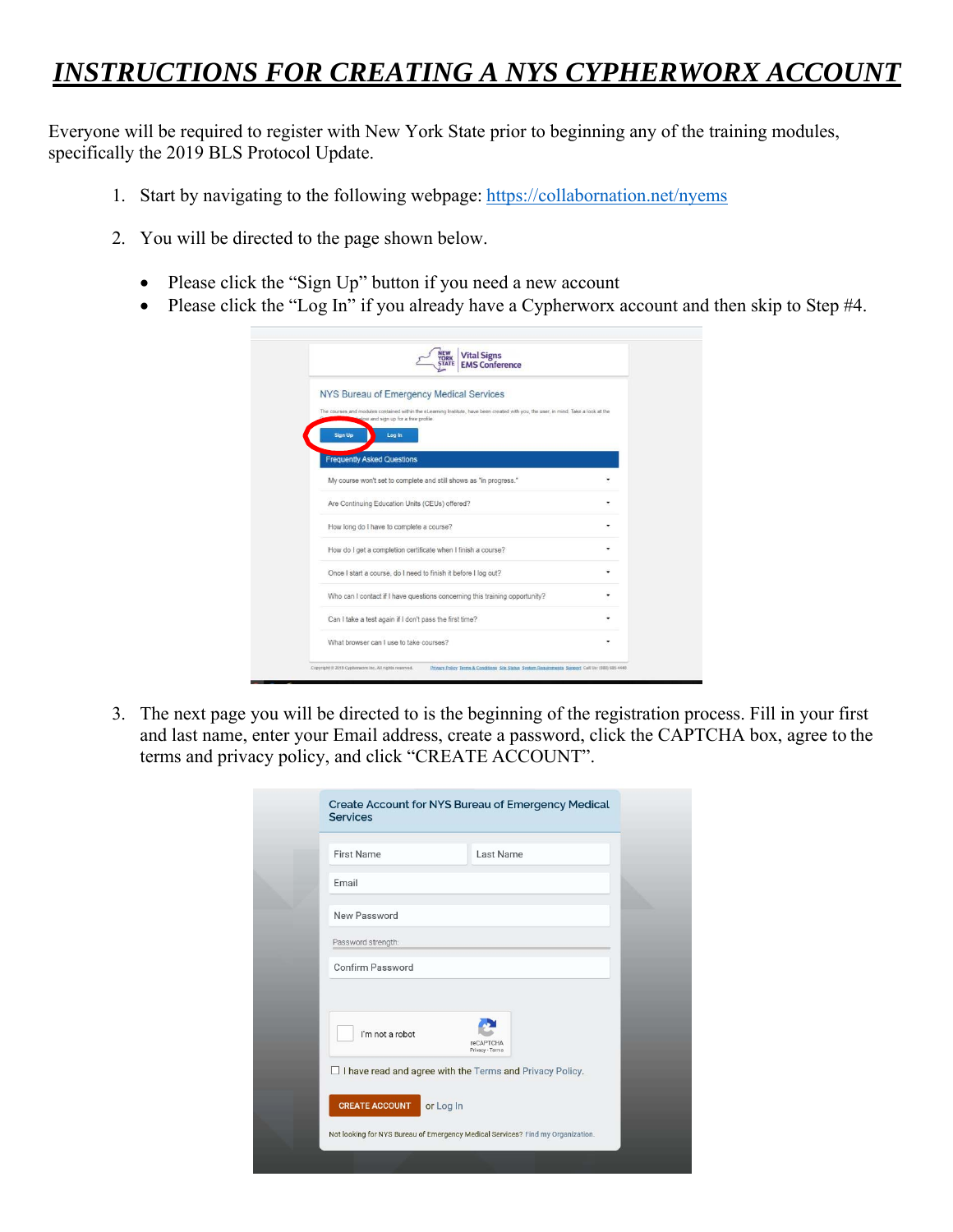## *INSTRUCTIONS FOR CREATING A NYS CYPHERWORX ACCOUNT*

Everyone will be required to register with New York State prior to beginning any of the training modules, specifically the 2019 BLS Protocol Update.

- 1. Start by navigating to the following webpage: https://collabornation.net/nyems
- 2. You will be directed to the page shown below.
	- Please click the "Sign Up" button if you need a new account
	- Please click the "Log In" if you already have a Cypherworx account and then skip to Step #4.

| NEW<br>YORK<br>STATE<br><b>Vital Signs</b><br><b>EMS Conference</b>                                                                                                        |   |
|----------------------------------------------------------------------------------------------------------------------------------------------------------------------------|---|
| NYS Bureau of Emergency Medical Services                                                                                                                                   |   |
| The courses and modules contained within the eLearning Institute, have been created with you, the user, in mind. Take a look at the<br>you and sign up for a free profile. |   |
| Sign Up<br>Log in                                                                                                                                                          |   |
| <b>Frequently Asked Questions</b>                                                                                                                                          |   |
| My course won't set to complete and still shows as "in progress."                                                                                                          |   |
| Are Continuing Education Units (CEUs) offered?                                                                                                                             | ٠ |
| How long do I have to complete a course?                                                                                                                                   | ٠ |
| How do I get a completion certificate when I finish a course?                                                                                                              |   |
| Once I start a course, do I need to finish it before I log out?                                                                                                            |   |
| Who can I contact if I have questions concerning this training opportunity?                                                                                                |   |
| Can I take a test again if I don't pass the first time?                                                                                                                    |   |
| What browser can I use to take courses?                                                                                                                                    |   |

3. The next page you will be directed to is the beginning of the registration process. Fill in your first and last name, enter your Email address, create a password, click the CAPTCHA box, agree to the terms and privacy policy, and click "CREATE ACCOUNT".

| <b>First Name</b>  | Last Name                                                |  |
|--------------------|----------------------------------------------------------|--|
| Email              |                                                          |  |
| New Password       |                                                          |  |
| Password strength: |                                                          |  |
| Confirm Password   |                                                          |  |
| I'm not a robot    | <b>reCAPTCHA</b><br>Privacy - Terms                      |  |
|                    | I have read and agree with the Terms and Privacy Policy. |  |
|                    |                                                          |  |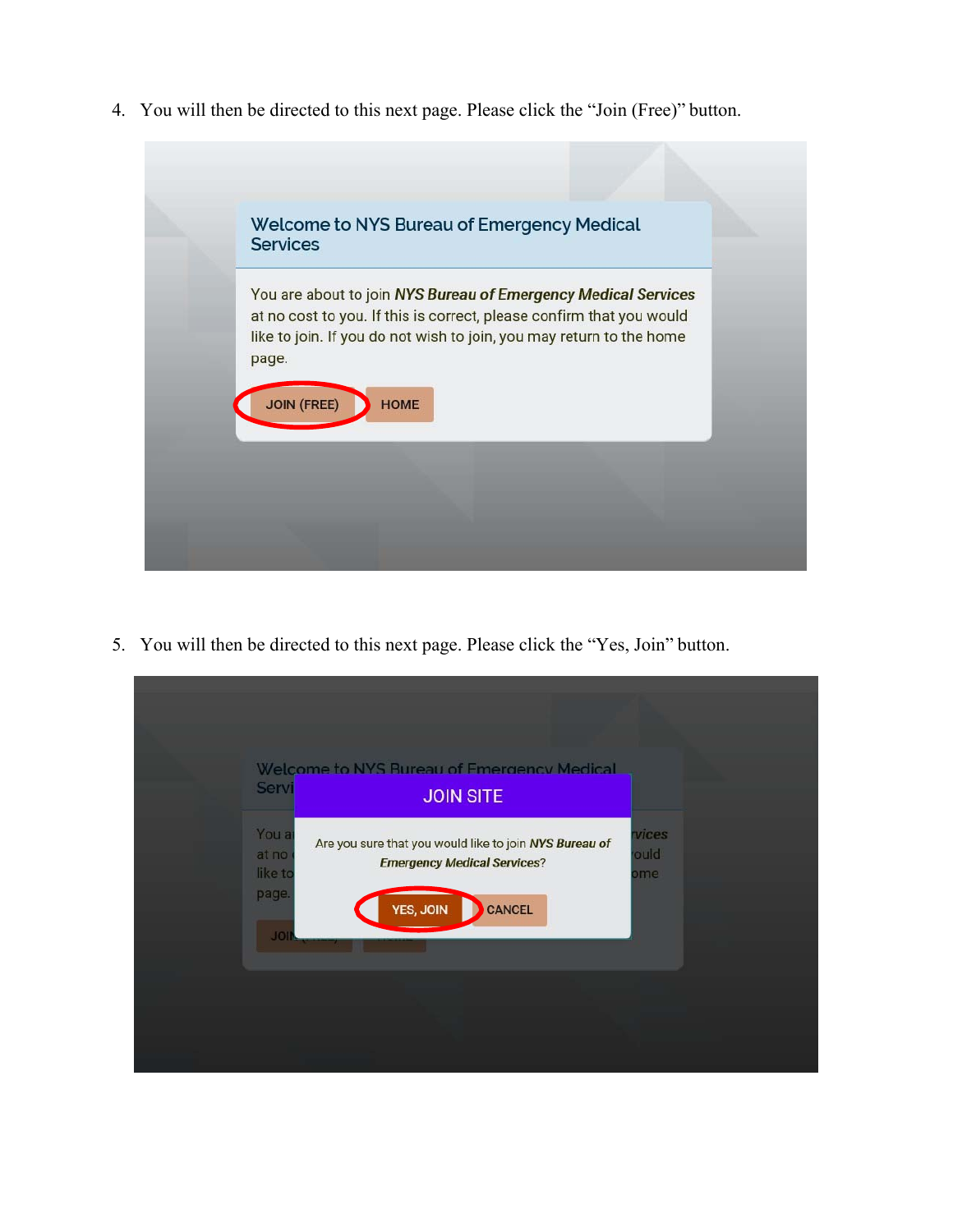4. You will then be directed to this next page. Please click the "Join (Free)" button.



5. You will then be directed to this next page. Please click the "Yes, Join" button.

| Servi                              | Welcome to NYS Rureau of Emergency Medical<br><b>JOIN SITE</b>                               |                             |
|------------------------------------|----------------------------------------------------------------------------------------------|-----------------------------|
| You a<br>at no<br>like to<br>page. | Are you sure that you would like to join NYS Bureau of<br><b>Emergency Medical Services?</b> | <b>vices</b><br>ould<br>ome |
| <b>JOI</b>                         | YES, JOIN<br><b>CANCEL</b>                                                                   |                             |
|                                    |                                                                                              |                             |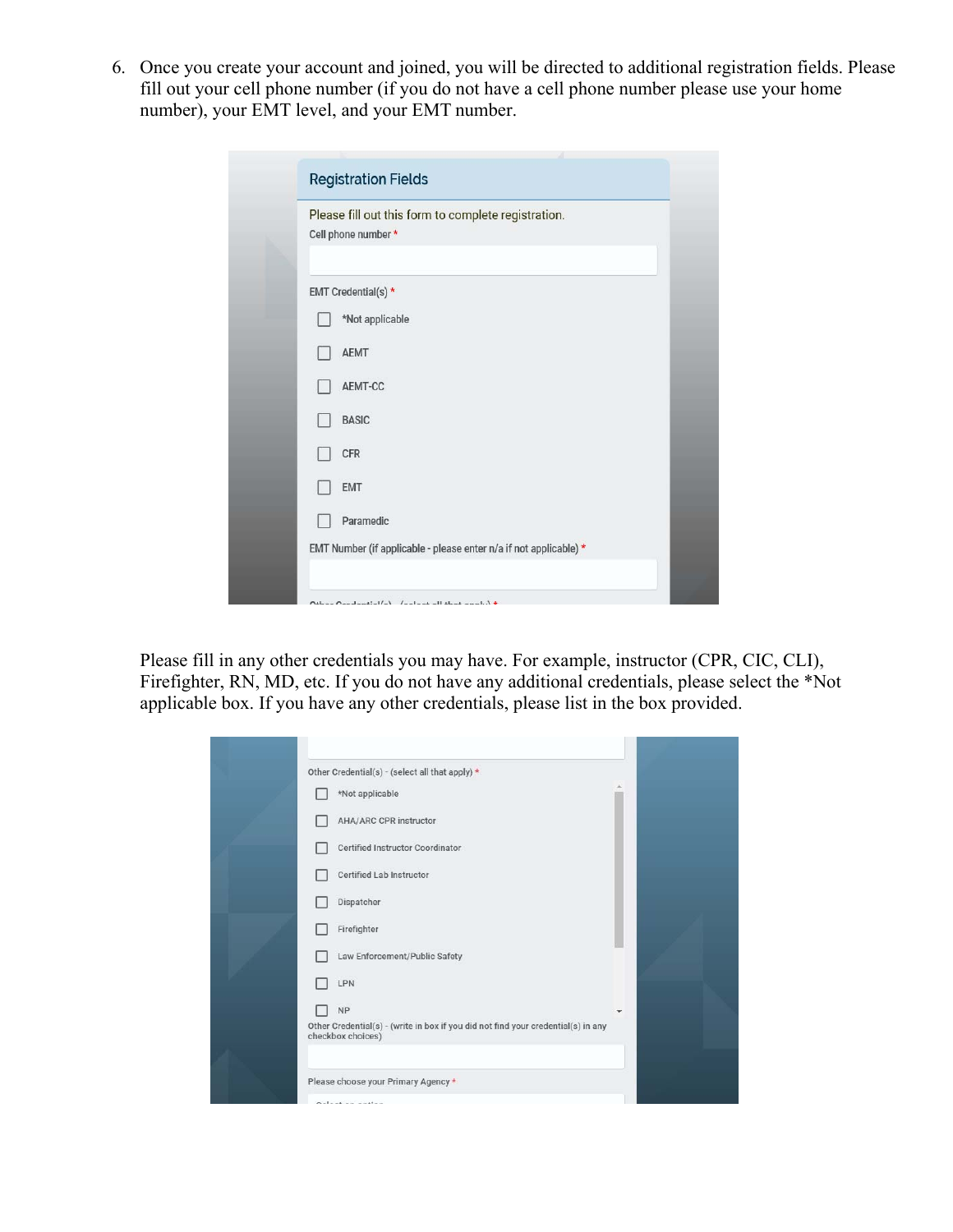6. Once you create your account and joined, you will be directed to additional registration fields. Please fill out your cell phone number (if you do not have a cell phone number please use your home number), your EMT level, and your EMT number.

| Please fill out this form to complete registration.               |
|-------------------------------------------------------------------|
| Cell phone number *                                               |
|                                                                   |
| EMT Credential(s) *                                               |
| *Not applicable                                                   |
| <b>AEMT</b>                                                       |
| AEMT-CC                                                           |
| <b>BASIC</b>                                                      |
| CFR                                                               |
| <b>EMT</b>                                                        |
| Paramedic                                                         |
| EMT Number (if applicable - please enter n/a if not applicable) * |

Please fill in any other credentials you may have. For example, instructor (CPR, CIC, CLI), Firefighter, RN, MD, etc. If you do not have any additional credentials, please select the \*Not applicable box. If you have any other credentials, please list in the box provided.

| Other Credential(s) - (select all that apply) *<br>*Not applicable                                     |              |  |
|--------------------------------------------------------------------------------------------------------|--------------|--|
| <b>AHA/ARC CPR instructor</b>                                                                          |              |  |
| Certified Instructor Coordinator                                                                       |              |  |
| Certified Lab Instructor                                                                               |              |  |
| Dispatcher                                                                                             |              |  |
| Firefighter                                                                                            |              |  |
| Law Enforcement/Public Safety                                                                          |              |  |
| LPN                                                                                                    |              |  |
| <b>NP</b>                                                                                              | $\mathbf{v}$ |  |
| Other Credential(s) - (write in box if you did not find your credential(s) in any<br>checkbox choices) |              |  |
|                                                                                                        |              |  |
| Please choose your Primary Agency *<br>Onlined on modern                                               |              |  |
|                                                                                                        |              |  |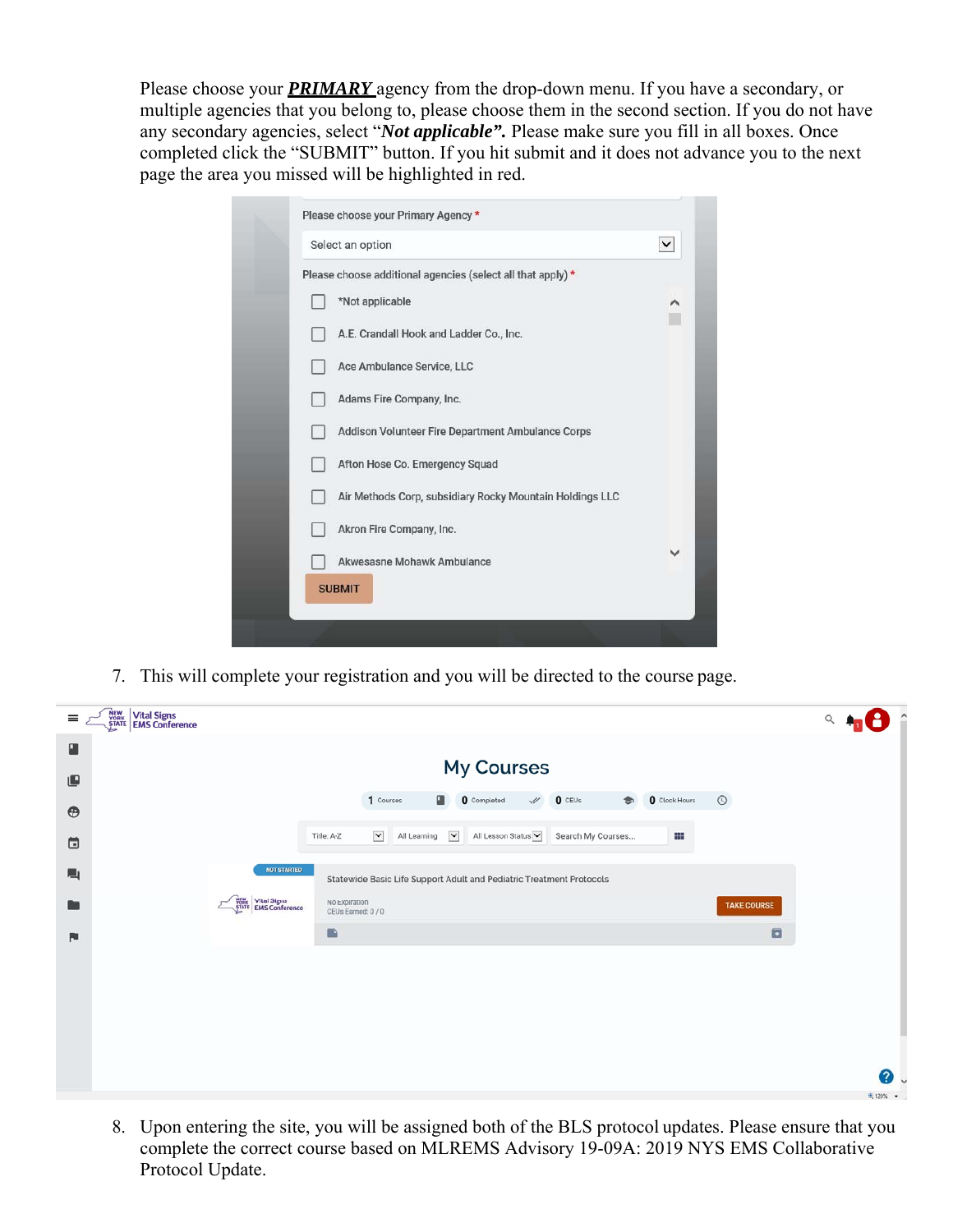Please choose your *PRIMARY* agency from the drop-down menu. If you have a secondary, or multiple agencies that you belong to, please choose them in the second section. If you do not have any secondary agencies, select "*Not applicable".* Please make sure you fill in all boxes. Once completed click the "SUBMIT" button. If you hit submit and it does not advance you to the next page the area you missed will be highlighted in red.

| Please choose additional agencies (select all that apply) * |              |
|-------------------------------------------------------------|--------------|
| *Not applicable                                             |              |
| A.E. Crandall Hook and Ladder Co., Inc.                     |              |
| Ace Ambulance Service, LLC                                  |              |
| Adams Fire Company, Inc.                                    |              |
| Addison Volunteer Fire Department Ambulance Corps           |              |
| Afton Hose Co. Emergency Squad                              |              |
| Air Methods Corp, subsidiary Rocky Mountain Holdings LLC    |              |
| Akron Fire Company, Inc.                                    |              |
| Akwesasne Mohawk Ambulance                                  | $\checkmark$ |

7. This will complete your registration and you will be directed to the course page.

| $\equiv$             | <b>NEW Vital Signs</b><br>STATE EMS Conference |                                                       |                                                                       |                       |                      |                                 | Q        |
|----------------------|------------------------------------------------|-------------------------------------------------------|-----------------------------------------------------------------------|-----------------------|----------------------|---------------------------------|----------|
| ■<br>⋓               |                                                |                                                       | My Courses                                                            |                       |                      |                                 |          |
| $\oplus$             |                                                |                                                       | п<br>1 Courses<br><b>0</b> Completed<br>$\mathcal{A}$                 | $0$ CEUs<br>$\bullet$ | <b>Q</b> Clock Hours | $\odot$                         |          |
| $\qquad \qquad \Box$ |                                                |                                                       | $\check{~}$<br>All Learning $\vee$<br>All Lesson Status<br>Title: A-Z | Search My Courses     | ₩                    |                                 |          |
| 一                    |                                                | NOT STARTED                                           | Statewide Basic Life Support Adult and Pediatric Treatment Protocols  |                       |                      |                                 |          |
| <b>BB</b>            |                                                | <b>NEW Vital Signs</b><br><b>STATE</b> EMS Conference | No Expiration<br>CEUs Earned: 0 / 0<br>$\blacksquare$                 |                       |                      | <b>TAKE COURSE</b><br>$\square$ |          |
| 陶                    |                                                |                                                       |                                                                       |                       |                      |                                 |          |
|                      |                                                |                                                       |                                                                       |                       |                      |                                 |          |
|                      |                                                |                                                       |                                                                       |                       |                      |                                 |          |
|                      |                                                |                                                       |                                                                       |                       |                      |                                 | ℯ.       |
|                      |                                                |                                                       |                                                                       |                       |                      |                                 | 电 120% · |

8. Upon entering the site, you will be assigned both of the BLS protocol updates. Please ensure that you complete the correct course based on MLREMS Advisory 19-09A: 2019 NYS EMS Collaborative Protocol Update.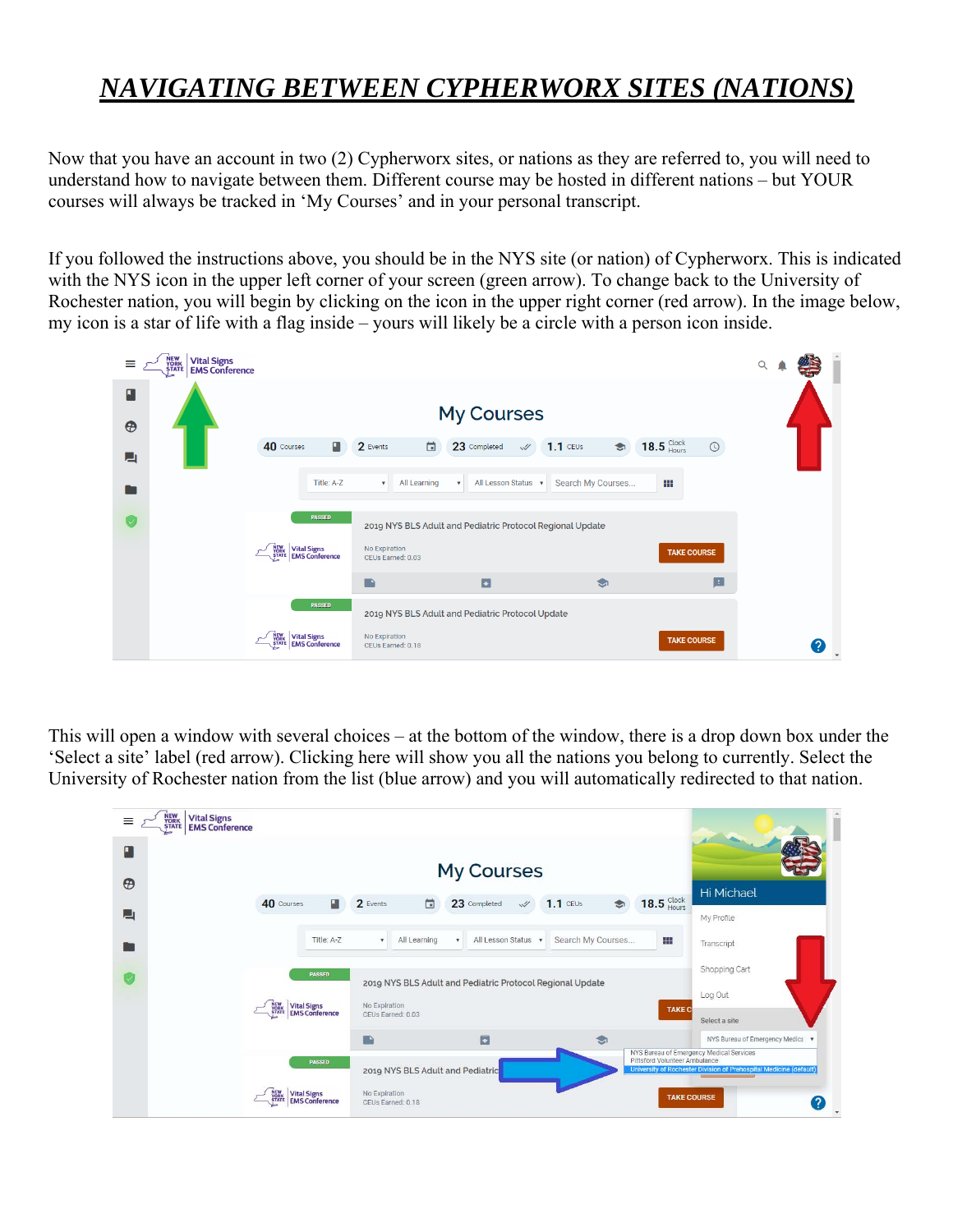## *NAVIGATING BETWEEN CYPHERWORX SITES (NATIONS)*

Now that you have an account in two (2) Cypherworx sites, or nations as they are referred to, you will need to understand how to navigate between them. Different course may be hosted in different nations – but YOUR courses will always be tracked in 'My Courses' and in your personal transcript.

If you followed the instructions above, you should be in the NYS site (or nation) of Cypherworx. This is indicated with the NYS icon in the upper left corner of your screen (green arrow). To change back to the University of Rochester nation, you will begin by clicking on the icon in the upper right corner (red arrow). In the image below, my icon is a star of life with a flag inside – yours will likely be a circle with a person icon inside.



This will open a window with several choices – at the bottom of the window, there is a drop down box under the 'Select a site' label (red arrow). Clicking here will show you all the nations you belong to currently. Select the University of Rochester nation from the list (blue arrow) and you will automatically redirected to that nation.

| $=$<br>$\Box$<br>$\boldsymbol{\theta}$ | NEW<br>YORK<br>STATE<br><b>Vital Signs</b><br><b>EMS Conference</b> |                                                 |                                       |                                    |                                  |                           | <b>My Courses</b>   |            |                                                           |        |                                               |                                                                                               |
|----------------------------------------|---------------------------------------------------------------------|-------------------------------------------------|---------------------------------------|------------------------------------|----------------------------------|---------------------------|---------------------|------------|-----------------------------------------------------------|--------|-----------------------------------------------|-----------------------------------------------------------------------------------------------|
| 囗                                      |                                                                     | 40 Courses                                      | 团                                     | 2 Events                           | 茴                                |                           | 23 Completed        | $\sqrt{ }$ | $1.1$ CEUs                                                | Э      | $18.5 \text{ }\substack{\text{Clock}\text{}}$ | <b>Hi Michael</b>                                                                             |
|                                        |                                                                     |                                                 | Title: A-Z                            | ۰                                  | All Learning                     | $\boldsymbol{\mathrm{v}}$ | All Lesson Status v |            | Search My Courses                                         |        | m                                             | My Profile<br>Transcript                                                                      |
|                                        |                                                                     |                                                 | <b>PASSED</b>                         |                                    |                                  |                           |                     |            | 2019 NYS BLS Adult and Pediatric Protocol Regional Update |        |                                               | Shopping Cart<br>Log Out                                                                      |
|                                        |                                                                     | <b>NEW Vital Signs<br/>STATE EMS Conference</b> |                                       | No Expiration<br>CEUs Earned: 0.03 |                                  |                           |                     |            |                                                           |        | <b>TAKE C</b>                                 | Select a site                                                                                 |
|                                        |                                                                     |                                                 | <b>PASSED</b>                         | n a                                |                                  |                           | $\Box$              |            |                                                           | $\sum$ | Pittsford Volunteer Ambulance                 | NYS Bureau of Emergency Medica v<br>NYS Bureau of Emergency Medical Services                  |
|                                        |                                                                     | NEW<br>YORK<br>STATE                            | <b>Vital Signs<br/>EMS Conference</b> | No Expiration<br>CEUs Earned: 0.18 | 2019 NYS BLS Adult and Pediatric |                           |                     |            |                                                           |        |                                               | University of Rochester Division of Prehospital Medicine (default)<br><b>TAKE COURSE</b><br>7 |